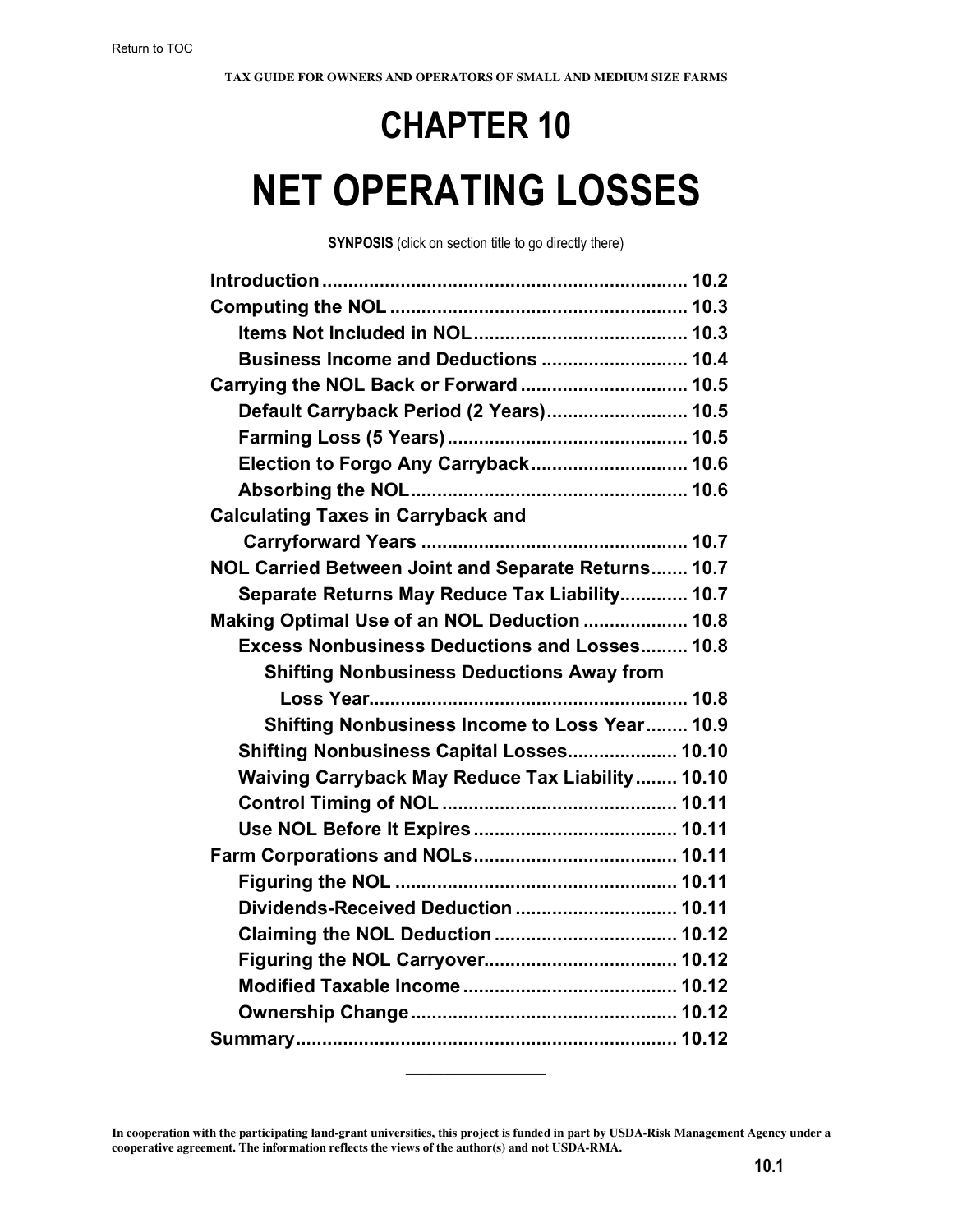# **CHAPTER 10 NET OPERATING LOSSES**

**SYNPOSIS** (click on section title to go directly there)

| Business Income and Deductions  10.4                 |  |
|------------------------------------------------------|--|
| Carrying the NOL Back or Forward  10.5               |  |
| Default Carryback Period (2 Years) 10.5              |  |
|                                                      |  |
| Election to Forgo Any Carryback 10.6                 |  |
|                                                      |  |
| <b>Calculating Taxes in Carryback and</b>            |  |
|                                                      |  |
| NOL Carried Between Joint and Separate Returns 10.7  |  |
| Separate Returns May Reduce Tax Liability 10.7       |  |
| Making Optimal Use of an NOL Deduction  10.8         |  |
| <b>Excess Nonbusiness Deductions and Losses 10.8</b> |  |
|                                                      |  |
| <b>Shifting Nonbusiness Deductions Away from</b>     |  |
|                                                      |  |
| Shifting Nonbusiness Income to Loss Year 10.9        |  |
| Shifting Nonbusiness Capital Losses 10.10            |  |
| Waiving Carryback May Reduce Tax Liability 10.10     |  |
|                                                      |  |
|                                                      |  |
|                                                      |  |
|                                                      |  |
| Dividends-Received Deduction  10.11                  |  |
|                                                      |  |
|                                                      |  |
|                                                      |  |
|                                                      |  |
|                                                      |  |

 $\frac{1}{2}$ 

**In cooperation with the participating land-grant universities, this project is funded in part by USDA-Risk Management Agency under a cooperative agreement. The information reflects the views of the author(s) and not USDA-RMA.**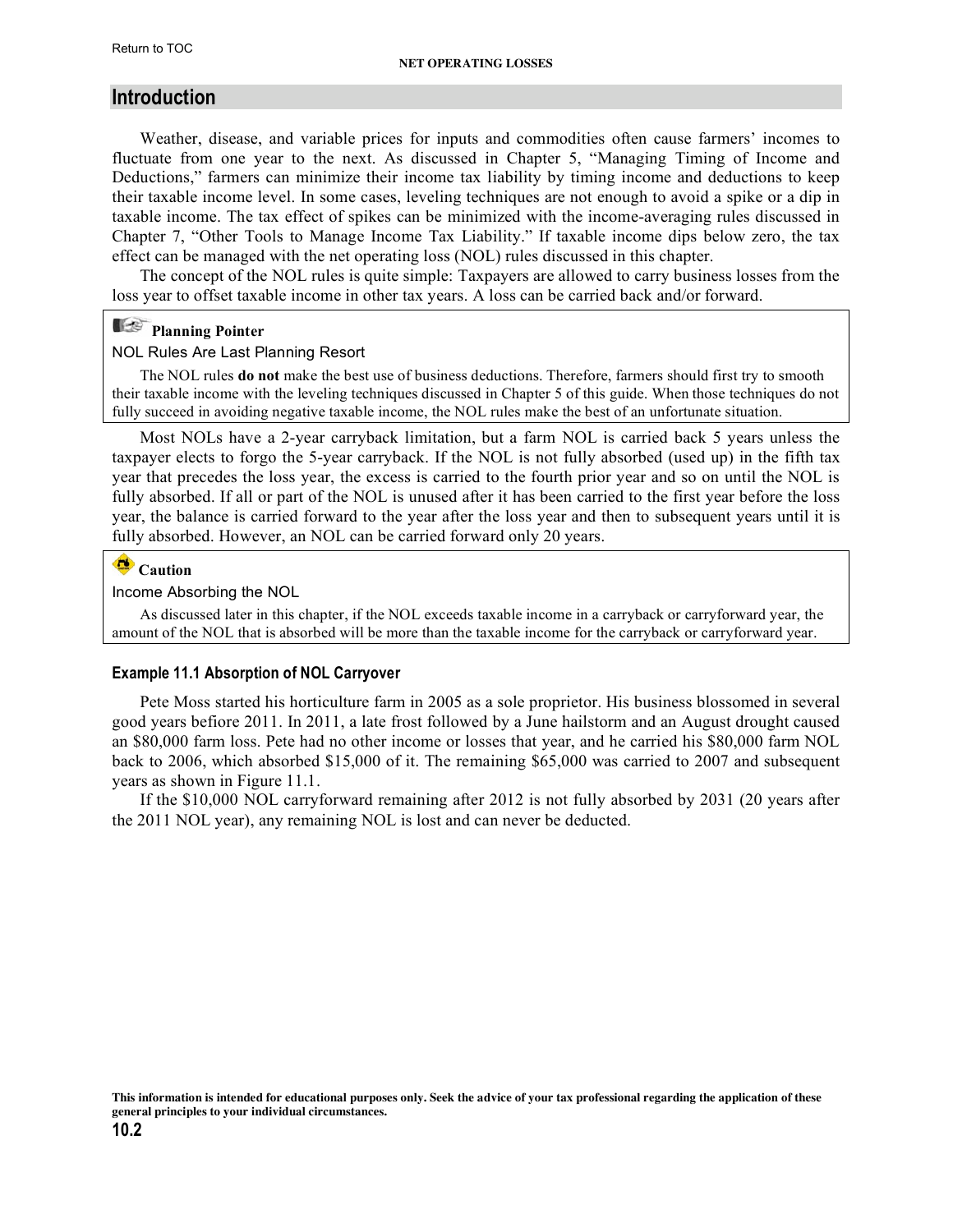### <span id="page-1-0"></span>**Introduction**

Weather, disease, and variable prices for inputs and commodities often cause farmers' incomes to fluctuate from one year to the next. As discussed in Chapter 5, "Managing Timing of Income and Deductions," farmers can minimize their income tax liability by timing income and deductions to keep their taxable income level. In some cases, leveling techniques are not enough to avoid a spike or a dip in taxable income. The tax effect of spikes can be minimized with the income-averaging rules discussed in Chapter 7, "Other Tools to Manage Income Tax Liability." If taxable income dips below zero, the tax effect can be managed with the net operating loss (NOL) rules discussed in this chapter.

The concept of the NOL rules is quite simple: Taxpayers are allowed to carry business losses from the loss year to offset taxable income in other tax years. A loss can be carried back and/or forward.

#### E **Planning Pointer**

#### NOL Rules Are Last Planning Resort

The NOL rules **do not** make the best use of business deductions. Therefore, farmers should first try to smooth their taxable income with the leveling techniques discussed in Chapter 5 of this guide. When those techniques do not fully succeed in avoiding negative taxable income, the NOL rules make the best of an unfortunate situation.

Most NOLs have a 2-year carryback limitation, but a farm NOL is carried back 5 years unless the taxpayer elects to forgo the 5-year carryback. If the NOL is not fully absorbed (used up) in the fifth tax year that precedes the loss year, the excess is carried to the fourth prior year and so on until the NOL is fully absorbed. If all or part of the NOL is unused after it has been carried to the first year before the loss year, the balance is carried forward to the year after the loss year and then to subsequent years until it is fully absorbed. However, an NOL can be carried forward only 20 years.

#### $\blacksquare$ **Caution**

#### Income Absorbing the NOL

As discussed later in this chapter, if the NOL exceeds taxable income in a carryback or carryforward year, the amount of the NOL that is absorbed will be more than the taxable income for the carryback or carryforward year.

#### **Example 11.1 Absorption of NOL Carryover**

Pete Moss started his horticulture farm in 2005 as a sole proprietor. His business blossomed in several good years befiore 2011. In 2011, a late frost followed by a June hailstorm and an August drought caused an \$80,000 farm loss. Pete had no other income or losses that year, and he carried his \$80,000 farm NOL back to 2006, which absorbed \$15,000 of it. The remaining \$65,000 was carried to 2007 and subsequent years as shown in Figure 11.1.

If the \$10,000 NOL carryforward remaining after 2012 is not fully absorbed by 2031 (20 years after the 2011 NOL year), any remaining NOL is lost and can never be deducted.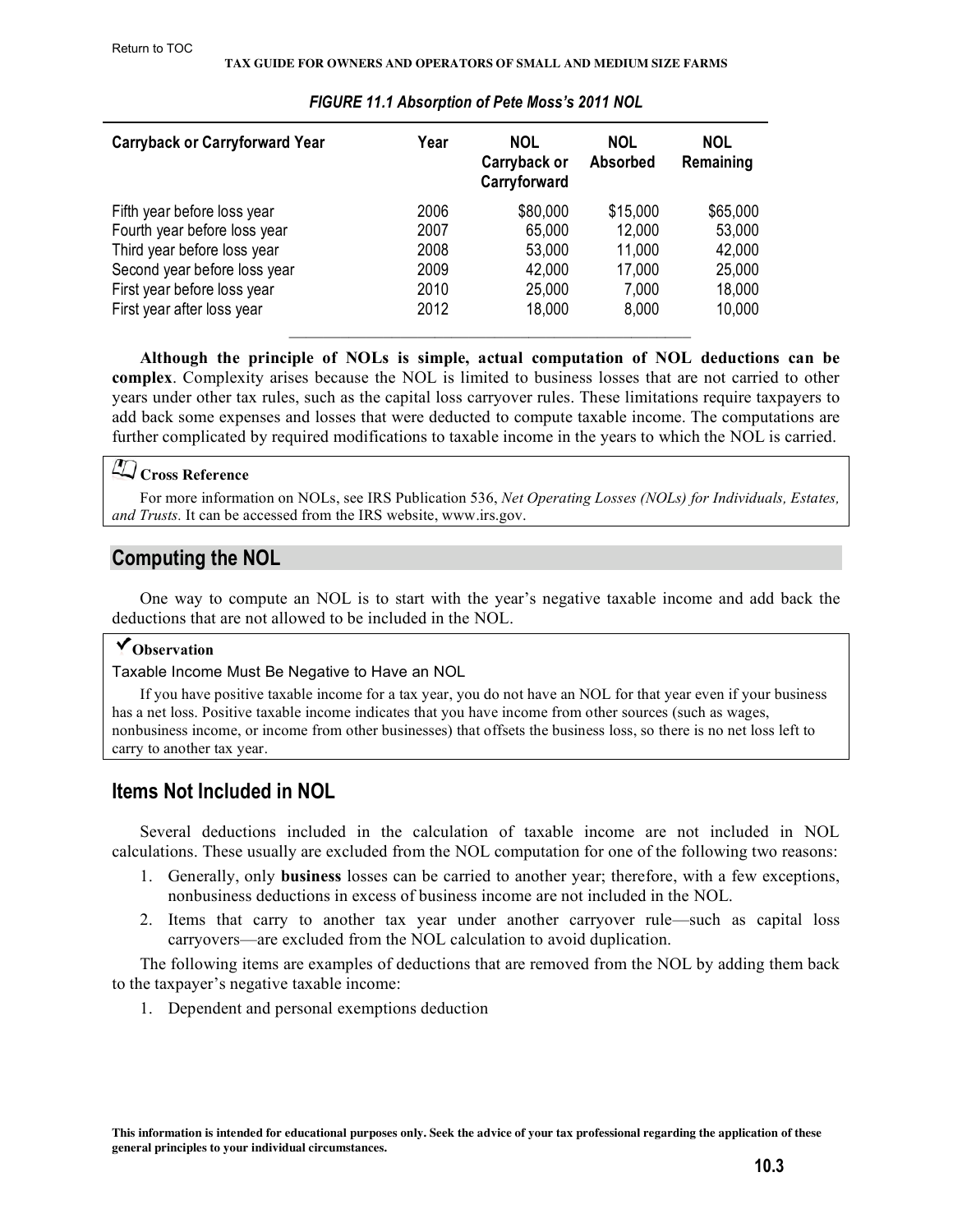<span id="page-2-0"></span>

| <b>Carryback or Carryforward Year</b> | Year | <b>NOL</b><br>Carryback or<br>Carryforward | <b>NOL</b><br><b>Absorbed</b> | <b>NOL</b><br>Remaining |
|---------------------------------------|------|--------------------------------------------|-------------------------------|-------------------------|
| Fifth year before loss year           | 2006 | \$80,000                                   | \$15,000                      | \$65,000                |
| Fourth year before loss year          | 2007 | 65,000                                     | 12,000                        | 53,000                  |
| Third year before loss year           | 2008 | 53,000                                     | 11,000                        | 42,000                  |
| Second year before loss year          | 2009 | 42,000                                     | 17,000                        | 25,000                  |
| First year before loss year           | 2010 | 25,000                                     | 7,000                         | 18,000                  |
| First year after loss year            | 2012 | 18,000                                     | 8,000                         | 10,000                  |

#### *FIGURE 11.1 Absorption of Pete Moss's 2011 NOL*

**Although the principle of NOLs is simple, actual computation of NOL deductions can be complex**. Complexity arises because the NOL is limited to business losses that are not carried to other years under other tax rules, such as the capital loss carryover rules. These limitations require taxpayers to add back some expenses and losses that were deducted to compute taxable income. The computations are further complicated by required modifications to taxable income in the years to which the NOL is carried.

# **Cross Reference**

[For more information on NOLs, see IRS Publication 536,](http://www.irs.gov/pub/irs-pdf/p536.pdf) *Net Operating Losses (NOLs) for Individuals, Estates, [and Trusts.](http://www.irs.gov/pub/irs-pdf/p536.pdf)* It can be accessed from the IRS website, www.irs.gov.

# **Computing the NOL**

One way to compute an NOL is to start with the year's negative taxable income and add back the deductions that are not allowed to be included in the NOL.

## **Observation**

Taxable Income Must Be Negative to Have an NOL

If you have positive taxable income for a tax year, you do not have an NOL for that year even if your business has a net loss. Positive taxable income indicates that you have income from other sources (such as wages, nonbusiness income, or income from other businesses) that offsets the business loss, so there is no net loss left to carry to another tax year.

# **Items Not Included in NOL**

Several deductions included in the calculation of taxable income are not included in NOL calculations. These usually are excluded from the NOL computation for one of the following two reasons:

- 1. Generally, only **business** losses can be carried to another year; therefore, with a few exceptions, nonbusiness deductions in excess of business income are not included in the NOL.
- 2. Items that carry to another tax year under another carryover rule—such as capital loss carryovers—are excluded from the NOL calculation to avoid duplication.

The following items are examples of deductions that are removed from the NOL by adding them back to the taxpayer's negative taxable income:

1. Dependent and personal exemptions deduction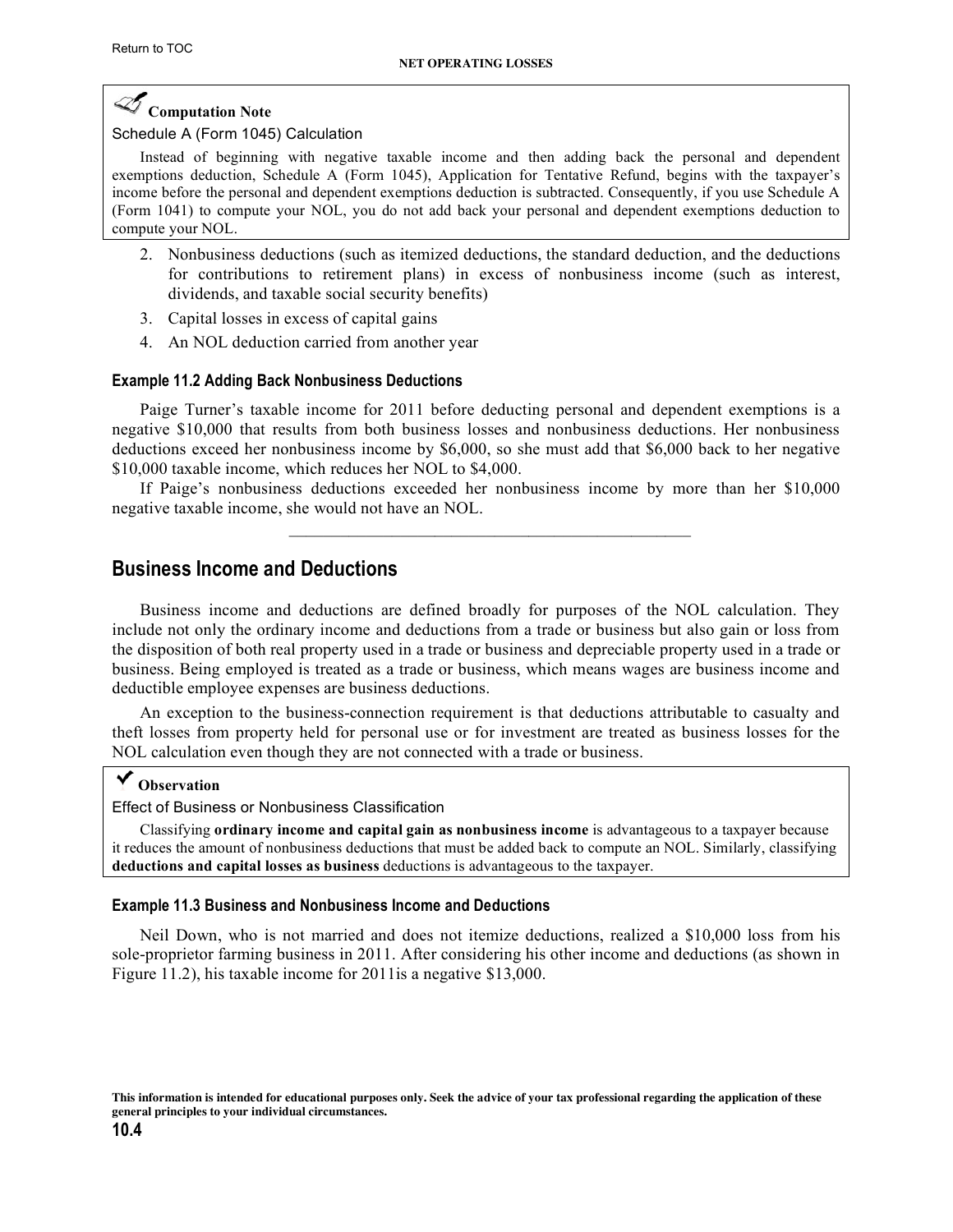# <span id="page-3-0"></span>**Computation Note**

#### Schedule A (Form 1045) Calculation

Instead of beginning with negative taxable income and then adding back the personal and dependent [exemptions deduction, Schedule A \(Form 1045\), Application for Tentative Refund, begins with the taxpayer's](http://www.irs.gov/pub/irs-pdf/f1045.pdf)  income before the personal and dependent exemptions deduction is subtracted. Consequently, if you use Schedule A [\(Form 1041\) to compute your NOL, you do not add back your personal and dependent exemptions deduction to](http://www.irs.gov/pub/irs-pdf/f1041.pdf)  compute your NOL.

- 2. Nonbusiness deductions (such as itemized deductions, the standard deduction, and the deductions for contributions to retirement plans) in excess of nonbusiness income (such as interest, dividends, and taxable social security benefits)
- 3. Capital losses in excess of capital gains
- 4. An NOL deduction carried from another year

#### **Example 11.2 Adding Back Nonbusiness Deductions**

Paige Turner's taxable income for 2011 before deducting personal and dependent exemptions is a negative \$10,000 that results from both business losses and nonbusiness deductions. Her nonbusiness deductions exceed her nonbusiness income by \$6,000, so she must add that \$6,000 back to her negative \$10,000 taxable income, which reduces her NOL to \$4,000.

If Paige's nonbusiness deductions exceeded her nonbusiness income by more than her \$10,000 negative taxable income, she would not have an NOL.

 $\mathcal{L}_\text{max} = \mathcal{L}_\text{max} = \mathcal{L}_\text{max} = \mathcal{L}_\text{max} = \mathcal{L}_\text{max} = \mathcal{L}_\text{max} = \mathcal{L}_\text{max} = \mathcal{L}_\text{max} = \mathcal{L}_\text{max} = \mathcal{L}_\text{max} = \mathcal{L}_\text{max} = \mathcal{L}_\text{max} = \mathcal{L}_\text{max} = \mathcal{L}_\text{max} = \mathcal{L}_\text{max} = \mathcal{L}_\text{max} = \mathcal{L}_\text{max} = \mathcal{L}_\text{max} = \mathcal{$ 

## **Business Income and Deductions**

Business income and deductions are defined broadly for purposes of the NOL calculation. They include not only the ordinary income and deductions from a trade or business but also gain or loss from the disposition of both real property used in a trade or business and depreciable property used in a trade or business. Being employed is treated as a trade or business, which means wages are business income and deductible employee expenses are business deductions.

An exception to the business-connection requirement is that deductions attributable to casualty and theft losses from property held for personal use or for investment are treated as business losses for the NOL calculation even though they are not connected with a trade or business.

## **Observation**

Effect of Business or Nonbusiness Classification

Classifying **ordinary income and capital gain as nonbusiness income** is advantageous to a taxpayer because it reduces the amount of nonbusiness deductions that must be added back to compute an NOL. Similarly, classifying **deductions and capital losses as business** deductions is advantageous to the taxpayer.

#### **Example 11.3 Business and Nonbusiness Income and Deductions**

Neil Down, who is not married and does not itemize deductions, realized a \$10,000 loss from his sole-proprietor farming business in 2011. After considering his other income and deductions (as shown in Figure 11.2), his taxable income for 2011is a negative \$13,000.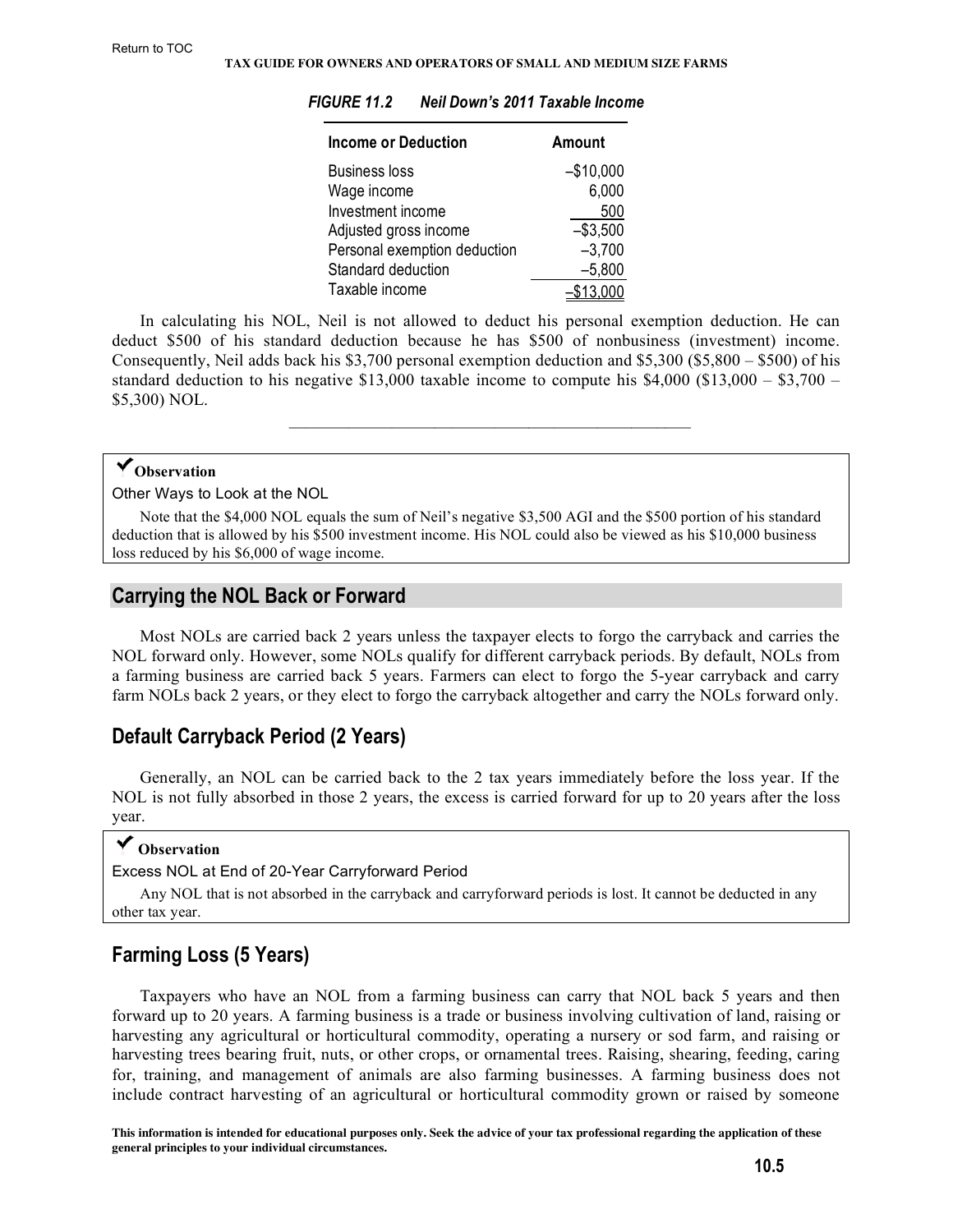| <b>Income or Deduction</b>   | Amount           |
|------------------------------|------------------|
| <b>Business loss</b>         | $-$10,000$       |
| Wage income                  | 6,000            |
| Investment income            | 500              |
| Adjusted gross income        | $-$3,500$        |
| Personal exemption deduction | $-3,700$         |
| Standard deduction           | $-5,800$         |
| Taxable income               | \$ <u>13,000</u> |

#### <span id="page-4-0"></span>*FIGURE 11.2 Neil Down's 2011 Taxable Income*

In calculating his NOL, Neil is not allowed to deduct his personal exemption deduction. He can deduct \$500 of his standard deduction because he has \$500 of nonbusiness (investment) income. Consequently, Neil adds back his \$3,700 personal exemption deduction and \$5,300 (\$5,800 – \$500) of his standard deduction to his negative \$13,000 taxable income to compute his  $$4,000$  (\$13,000 – \$3,700 – \$5,300) NOL.

 $\mathcal{L}_\text{max} = \mathcal{L}_\text{max} = \mathcal{L}_\text{max} = \mathcal{L}_\text{max} = \mathcal{L}_\text{max} = \mathcal{L}_\text{max} = \mathcal{L}_\text{max} = \mathcal{L}_\text{max} = \mathcal{L}_\text{max} = \mathcal{L}_\text{max} = \mathcal{L}_\text{max} = \mathcal{L}_\text{max} = \mathcal{L}_\text{max} = \mathcal{L}_\text{max} = \mathcal{L}_\text{max} = \mathcal{L}_\text{max} = \mathcal{L}_\text{max} = \mathcal{L}_\text{max} = \mathcal{$ 

# **Observation**

Other Ways to Look at the NOL

Note that the \$4,000 NOL equals the sum of Neil's negative \$3,500 AGI and the \$500 portion of his standard deduction that is allowed by his \$500 investment income. His NOL could also be viewed as his \$10,000 business loss reduced by his \$6,000 of wage income.

# **Carrying the NOL Back or Forward**

Most NOLs are carried back 2 years unless the taxpayer elects to forgo the carryback and carries the NOL forward only. However, some NOLs qualify for different carryback periods. By default, NOLs from a farming business are carried back 5 years. Farmers can elect to forgo the 5-year carryback and carry farm NOLs back 2 years, or they elect to forgo the carryback altogether and carry the NOLs forward only.

# **Default Carryback Period (2 Years)**

Generally, an NOL can be carried back to the 2 tax years immediately before the loss year. If the NOL is not fully absorbed in those 2 years, the excess is carried forward for up to 20 years after the loss year.

# **Observation**

Excess NOL at End of 20-Year Carryforward Period

Any NOL that is not absorbed in the carryback and carryforward periods is lost. It cannot be deducted in any other tax year.

# **Farming Loss (5 Years)**

Taxpayers who have an NOL from a farming business can carry that NOL back 5 years and then forward up to 20 years. A farming business is a trade or business involving cultivation of land, raising or harvesting any agricultural or horticultural commodity, operating a nursery or sod farm, and raising or harvesting trees bearing fruit, nuts, or other crops, or ornamental trees. Raising, shearing, feeding, caring for, training, and management of animals are also farming businesses. A farming business does not include contract harvesting of an agricultural or horticultural commodity grown or raised by someone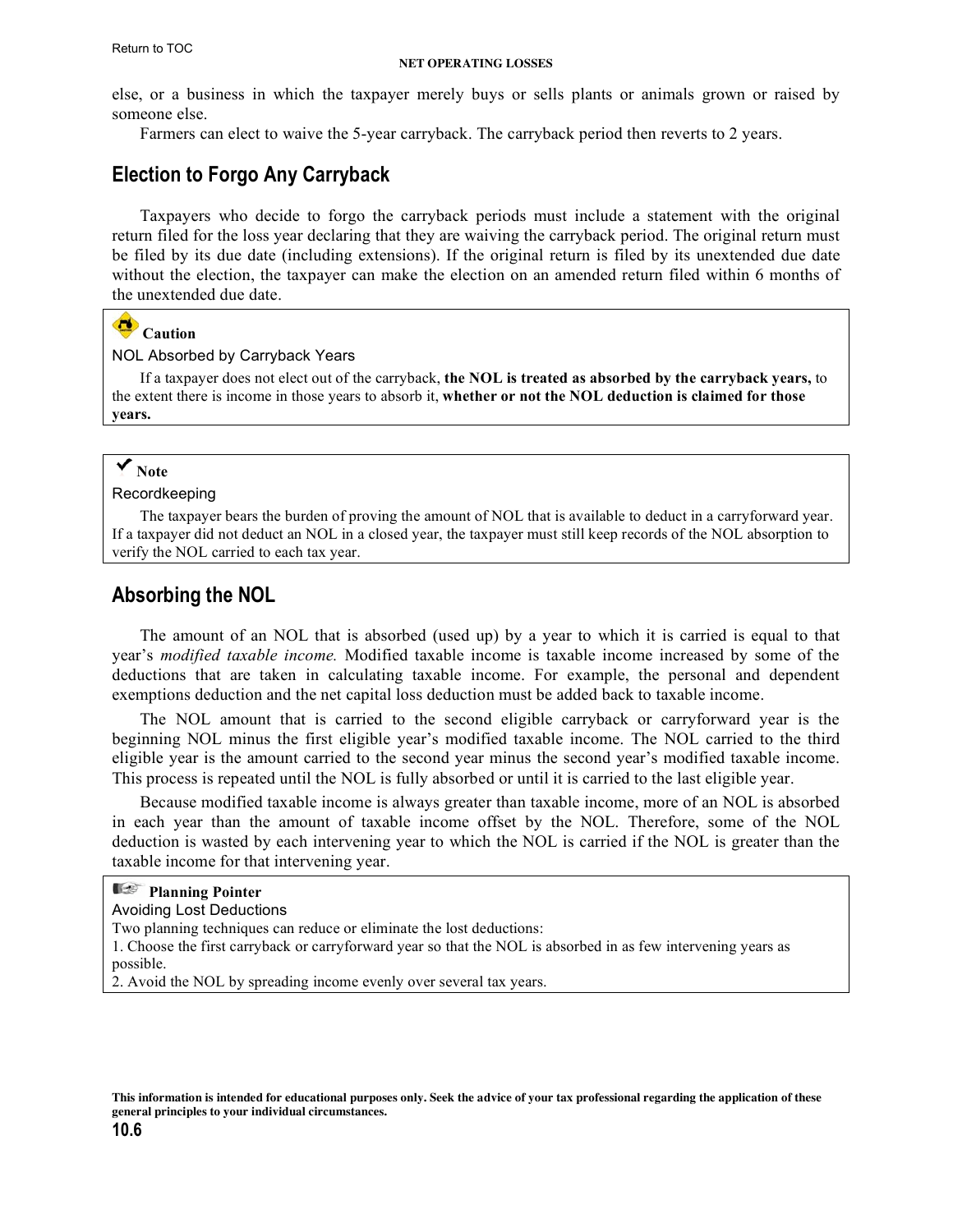#### **NET OPERATING LOSSES**

<span id="page-5-0"></span>else, or a business in which the taxpayer merely buys or sells plants or animals grown or raised by someone else.

Farmers can elect to waive the 5-year carryback. The carryback period then reverts to 2 years.

# **Election to Forgo Any Carryback**

Taxpayers who decide to forgo the carryback periods must include a statement with the original return filed for the loss year declaring that they are waiving the carryback period. The original return must be filed by its due date (including extensions). If the original return is filed by its unextended due date without the election, the taxpayer can make the election on an amended return filed within 6 months of the unextended due date.

# **Caution**

#### NOL Absorbed by Carryback Years

If a taxpayer does not elect out of the carryback, **the NOL is treated as absorbed by the carryback years,** to the extent there is income in those years to absorb it, **whether or not the NOL deduction is claimed for those years.**

## **Note**

Recordkeeping

The taxpayer bears the burden of proving the amount of NOL that is available to deduct in a carryforward year. If a taxpayer did not deduct an NOL in a closed year, the taxpayer must still keep records of the NOL absorption to verify the NOL carried to each tax year.

# **Absorbing the NOL**

The amount of an NOL that is absorbed (used up) by a year to which it is carried is equal to that year's *modified taxable income.* Modified taxable income is taxable income increased by some of the deductions that are taken in calculating taxable income. For example, the personal and dependent exemptions deduction and the net capital loss deduction must be added back to taxable income.

The NOL amount that is carried to the second eligible carryback or carryforward year is the beginning NOL minus the first eligible year's modified taxable income. The NOL carried to the third eligible year is the amount carried to the second year minus the second year's modified taxable income. This process is repeated until the NOL is fully absorbed or until it is carried to the last eligible year.

Because modified taxable income is always greater than taxable income, more of an NOL is absorbed in each year than the amount of taxable income offset by the NOL. Therefore, some of the NOL deduction is wasted by each intervening year to which the NOL is carried if the NOL is greater than the taxable income for that intervening year.

| <b>Planning Pointer</b>                                                                                       |
|---------------------------------------------------------------------------------------------------------------|
| <b>Avoiding Lost Deductions</b>                                                                               |
| Two planning techniques can reduce or eliminate the lost deductions:                                          |
| 1. Choose the first carryback or carryforward year so that the NOL is absorbed in as few intervening years as |
| possible.                                                                                                     |
| 2. Avoid the NOL by spreading income evenly over several tax years.                                           |
|                                                                                                               |

**This information is intended for educational purposes only. Seek the advice of your tax professional regarding the application of these general principles to your individual circumstances.**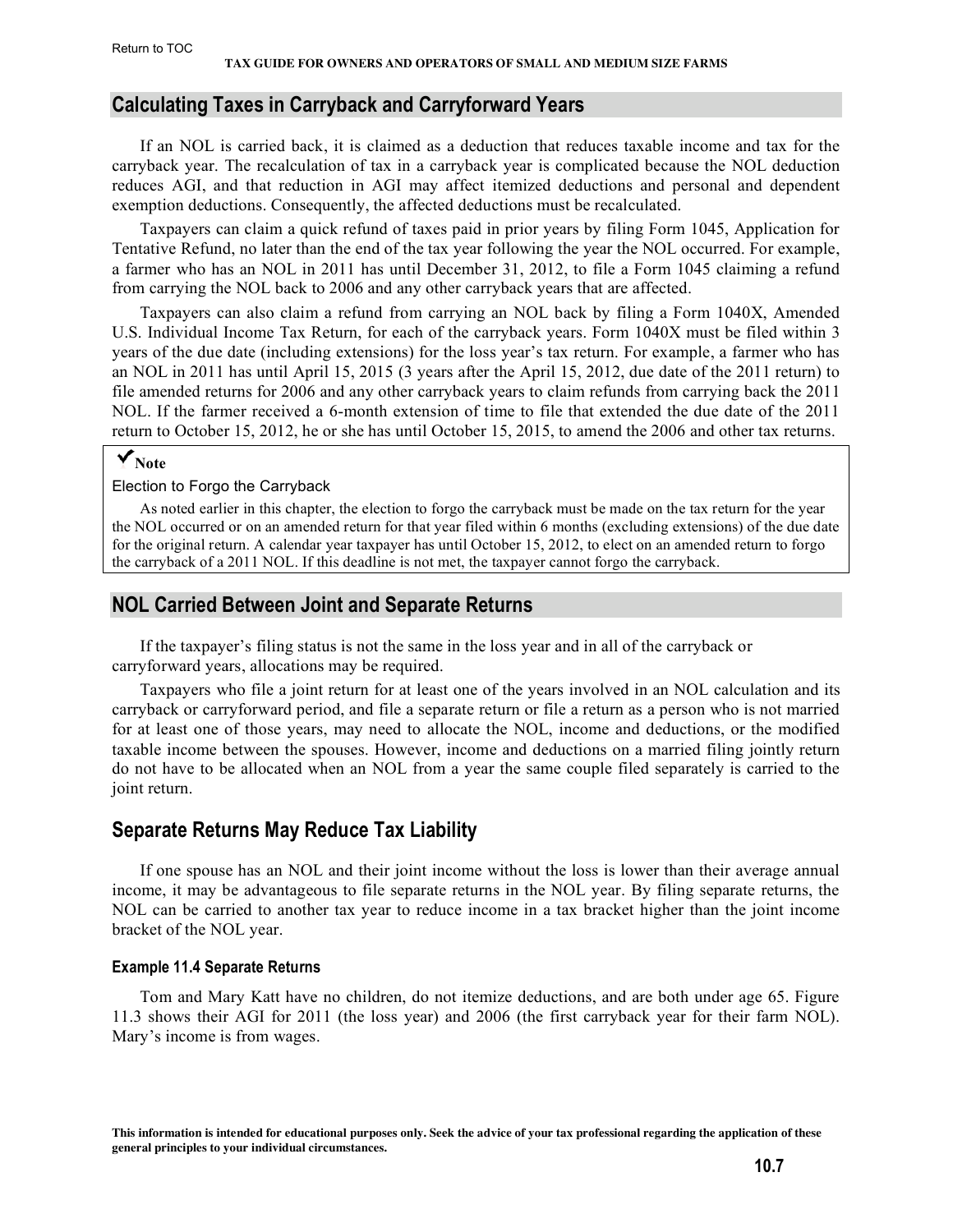#### <span id="page-6-0"></span>**Calculating Taxes in Carryback and Carryforward Years**

If an NOL is carried back, it is claimed as a deduction that reduces taxable income and tax for the carryback year. The recalculation of tax in a carryback year is complicated because the NOL deduction reduces AGI, and that reduction in AGI may affect itemized deductions and personal and dependent exemption deductions. Consequently, the affected deductions must be recalculated.

Taxpayers can claim a quick refund of taxes paid in prior years by filing Form 1045, Application for Tentative Refund, no later than the end of the tax year following the year the NOL occurred. For example, a farmer who has an NOL in 2011 has until December 31, 2012, to file a Form 1045 claiming a refund from carrying the NOL back to 2006 and any other carryback years that are affected.

Taxpayers can also claim a refund from carrying an NOL back by filing a Form 1040X, Amended U.S. Individual Income Tax Return, for each of the carryback years. Form 1040X must be filed within 3 years of the due date (including extensions) for the loss year's tax return. For example, a farmer who has an NOL in 2011 has until April 15, 2015 (3 years after the April 15, 2012, due date of the 2011 return) to file amended returns for 2006 and any other carryback years to claim refunds from carrying back the 2011 NOL. If the farmer received a 6-month extension of time to file that extended the due date of the 2011 return to October 15, 2012, he or she has until October 15, 2015, to amend the 2006 and other tax returns.

# **Note**

#### Election to Forgo the Carryback

As noted earlier in this chapter, the election to forgo the carryback must be made on the tax return for the year the NOL occurred or on an amended return for that year filed within 6 months (excluding extensions) of the due date for the original return. A calendar year taxpayer has until October 15, 2012, to elect on an amended return to forgo the carryback of a 2011 NOL. If this deadline is not met, the taxpayer cannot forgo the carryback.

# **NOL Carried Between Joint and Separate Returns**

If the taxpayer's filing status is not the same in the loss year and in all of the carryback or carryforward years, allocations may be required.

Taxpayers who file a joint return for at least one of the years involved in an NOL calculation and its carryback or carryforward period, and file a separate return or file a return as a person who is not married for at least one of those years, may need to allocate the NOL, income and deductions, or the modified taxable income between the spouses. However, income and deductions on a married filing jointly return do not have to be allocated when an NOL from a year the same couple filed separately is carried to the joint return.

# **Separate Returns May Reduce Tax Liability**

If one spouse has an NOL and their joint income without the loss is lower than their average annual income, it may be advantageous to file separate returns in the NOL year. By filing separate returns, the NOL can be carried to another tax year to reduce income in a tax bracket higher than the joint income bracket of the NOL year.

#### **Example 11.4 Separate Returns**

Tom and Mary Katt have no children, do not itemize deductions, and are both under age 65. Figure 11.3 shows their AGI for 2011 (the loss year) and 2006 (the first carryback year for their farm NOL). Mary's income is from wages.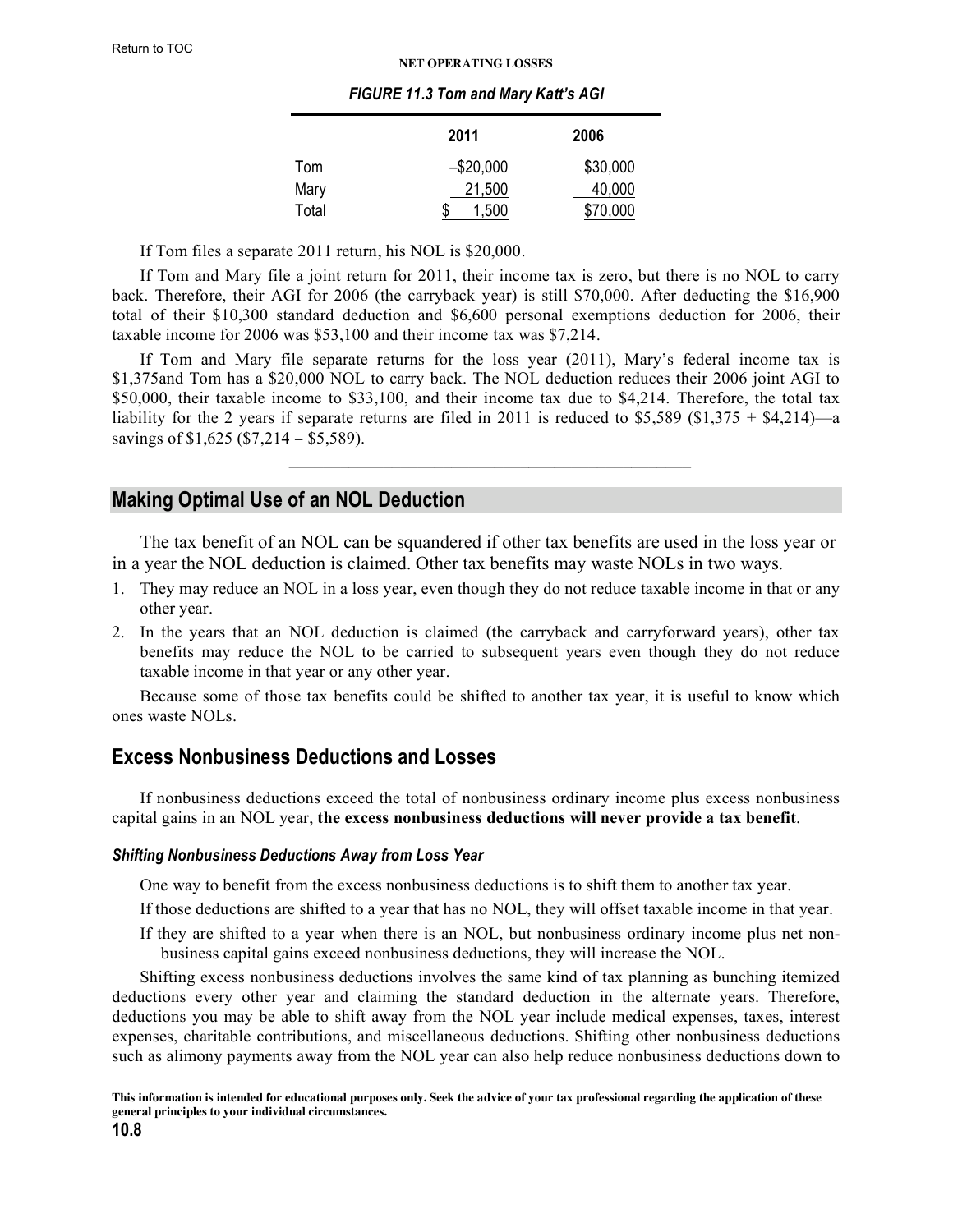#### **NET OPERATING LOSSES**

#### *FIGURE 11.3 Tom and Mary Katt's AGI*

|       | 2011       | 2006     |
|-------|------------|----------|
| Tom   | $-$20,000$ | \$30,000 |
| Mary  | 21,500     | 40,000   |
| Total | 1.500      | \$70,000 |

<span id="page-7-0"></span>If Tom files a separate 2011 return, his NOL is \$20,000.

If Tom and Mary file a joint return for 2011, their income tax is zero, but there is no NOL to carry back. Therefore, their AGI for 2006 (the carryback year) is still \$70,000. After deducting the \$16,900 total of their \$10,300 standard deduction and \$6,600 personal exemptions deduction for 2006, their taxable income for 2006 was \$53,100 and their income tax was \$7,214.

If Tom and Mary file separate returns for the loss year (2011), Mary's federal income tax is \$1,375and Tom has a \$20,000 NOL to carry back. The NOL deduction reduces their 2006 joint AGI to \$50,000, their taxable income to \$33,100, and their income tax due to \$4,214. Therefore, the total tax liability for the 2 years if separate returns are filed in 2011 is reduced to \$5,589 (\$1,375 + \$4,214)—a savings of \$1,625 (\$7,214 − \$5,589).

 $\mathcal{L}_\text{max} = \mathcal{L}_\text{max} = \mathcal{L}_\text{max} = \mathcal{L}_\text{max} = \mathcal{L}_\text{max} = \mathcal{L}_\text{max} = \mathcal{L}_\text{max} = \mathcal{L}_\text{max} = \mathcal{L}_\text{max} = \mathcal{L}_\text{max} = \mathcal{L}_\text{max} = \mathcal{L}_\text{max} = \mathcal{L}_\text{max} = \mathcal{L}_\text{max} = \mathcal{L}_\text{max} = \mathcal{L}_\text{max} = \mathcal{L}_\text{max} = \mathcal{L}_\text{max} = \mathcal{$ 

# **Making Optimal Use of an NOL Deduction**

The tax benefit of an NOL can be squandered if other tax benefits are used in the loss year or in a year the NOL deduction is claimed. Other tax benefits may waste NOLs in two ways.

- 1. They may reduce an NOL in a loss year, even though they do not reduce taxable income in that or any other year.
- 2. In the years that an NOL deduction is claimed (the carryback and carryforward years), other tax benefits may reduce the NOL to be carried to subsequent years even though they do not reduce taxable income in that year or any other year.

Because some of those tax benefits could be shifted to another tax year, it is useful to know which ones waste NOLs.

# **Excess Nonbusiness Deductions and Losses**

If nonbusiness deductions exceed the total of nonbusiness ordinary income plus excess nonbusiness capital gains in an NOL year, **the excess nonbusiness deductions will never provide a tax benefit**.

#### *Shifting Nonbusiness Deductions Away from Loss Year*

One way to benefit from the excess nonbusiness deductions is to shift them to another tax year.

- If those deductions are shifted to a year that has no NOL, they will offset taxable income in that year.
- If they are shifted to a year when there is an NOL, but nonbusiness ordinary income plus net nonbusiness capital gains exceed nonbusiness deductions, they will increase the NOL.

Shifting excess nonbusiness deductions involves the same kind of tax planning as bunching itemized deductions every other year and claiming the standard deduction in the alternate years. Therefore, deductions you may be able to shift away from the NOL year include medical expenses, taxes, interest expenses, charitable contributions, and miscellaneous deductions. Shifting other nonbusiness deductions such as alimony payments away from the NOL year can also help reduce nonbusiness deductions down to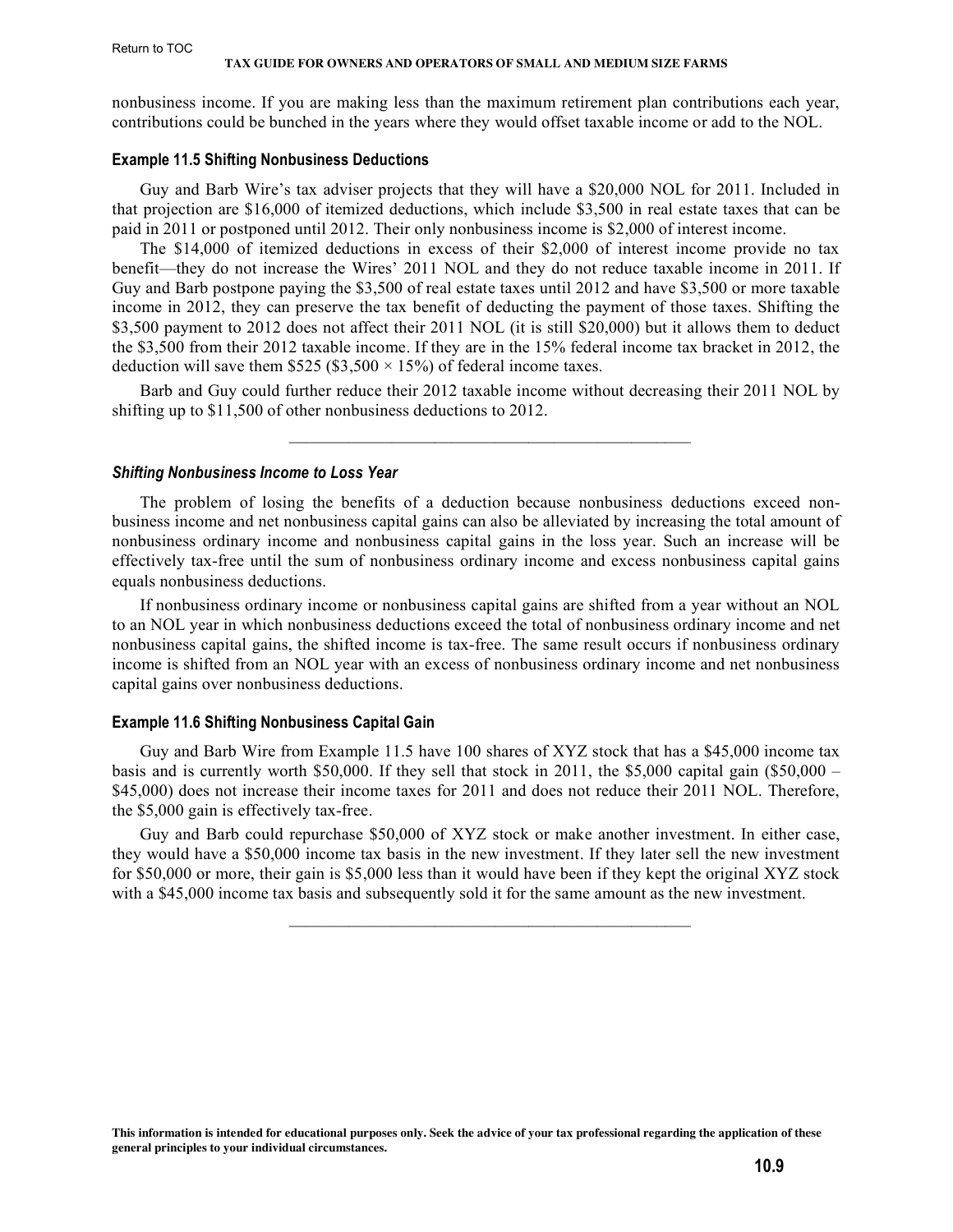#### <span id="page-8-0"></span>Return to TOC

#### **TAX GUIDE FOR OWNERS AND OPERATORS OF SMALL AND MEDIUM SIZE FARMS**

nonbusiness income. If you are making less than the maximum retirement plan contributions each year, contributions could be bunched in the years where they would offset taxable income or add to the NOL.

#### **Example 11.5 Shifting Nonbusiness Deductions**

Guy and Barb Wire's tax adviser projects that they will have a \$20,000 NOL for 2011. Included in that projection are \$16,000 of itemized deductions, which include \$3,500 in real estate taxes that can be paid in 2011 or postponed until 2012. Their only nonbusiness income is \$2,000 of interest income.

The \$14,000 of itemized deductions in excess of their \$2,000 of interest income provide no tax benefit—they do not increase the Wires' 2011 NOL and they do not reduce taxable income in 2011. If Guy and Barb postpone paying the \$3,500 of real estate taxes until 2012 and have \$3,500 or more taxable income in 2012, they can preserve the tax benefit of deducting the payment of those taxes. Shifting the \$3,500 payment to 2012 does not affect their 2011 NOL (it is still \$20,000) but it allows them to deduct the \$3,500 from their 2012 taxable income. If they are in the 15% federal income tax bracket in 2012, the deduction will save them \$525 (\$3,500  $\times$  15%) of federal income taxes.

Barb and Guy could further reduce their 2012 taxable income without decreasing their 2011 NOL by shifting up to \$11,500 of other nonbusiness deductions to 2012.

 $\mathcal{L}_\text{max} = \mathcal{L}_\text{max} = \mathcal{L}_\text{max} = \mathcal{L}_\text{max} = \mathcal{L}_\text{max} = \mathcal{L}_\text{max} = \mathcal{L}_\text{max} = \mathcal{L}_\text{max} = \mathcal{L}_\text{max} = \mathcal{L}_\text{max} = \mathcal{L}_\text{max} = \mathcal{L}_\text{max} = \mathcal{L}_\text{max} = \mathcal{L}_\text{max} = \mathcal{L}_\text{max} = \mathcal{L}_\text{max} = \mathcal{L}_\text{max} = \mathcal{L}_\text{max} = \mathcal{$ 

#### *Shifting Nonbusiness Income to Loss Year*

The problem of losing the benefits of a deduction because nonbusiness deductions exceed nonbusiness income and net nonbusiness capital gains can also be alleviated by increasing the total amount of nonbusiness ordinary income and nonbusiness capital gains in the loss year. Such an increase will be effectively tax-free until the sum of nonbusiness ordinary income and excess nonbusiness capital gains equals nonbusiness deductions.

If nonbusiness ordinary income or nonbusiness capital gains are shifted from a year without an NOL to an NOL year in which nonbusiness deductions exceed the total of nonbusiness ordinary income and net nonbusiness capital gains, the shifted income is tax-free. The same result occurs if nonbusiness ordinary income is shifted from an NOL year with an excess of nonbusiness ordinary income and net nonbusiness capital gains over nonbusiness deductions.

#### **Example 11.6 Shifting Nonbusiness Capital Gain**

Guy and Barb Wire from Example 11.5 have 100 shares of XYZ stock that has a \$45,000 income tax basis and is currently worth \$50,000. If they sell that stock in 2011, the \$5,000 capital gain (\$50,000 – \$45,000) does not increase their income taxes for 2011 and does not reduce their 2011 NOL. Therefore, the \$5,000 gain is effectively tax-free.

Guy and Barb could repurchase \$50,000 of XYZ stock or make another investment. In either case, they would have a \$50,000 income tax basis in the new investment. If they later sell the new investment for \$50,000 or more, their gain is \$5,000 less than it would have been if they kept the original XYZ stock with a \$45,000 income tax basis and subsequently sold it for the same amount as the new investment.

 $\mathcal{L}_\text{max} = \mathcal{L}_\text{max} = \mathcal{L}_\text{max} = \mathcal{L}_\text{max} = \mathcal{L}_\text{max} = \mathcal{L}_\text{max} = \mathcal{L}_\text{max} = \mathcal{L}_\text{max} = \mathcal{L}_\text{max} = \mathcal{L}_\text{max} = \mathcal{L}_\text{max} = \mathcal{L}_\text{max} = \mathcal{L}_\text{max} = \mathcal{L}_\text{max} = \mathcal{L}_\text{max} = \mathcal{L}_\text{max} = \mathcal{L}_\text{max} = \mathcal{L}_\text{max} = \mathcal{$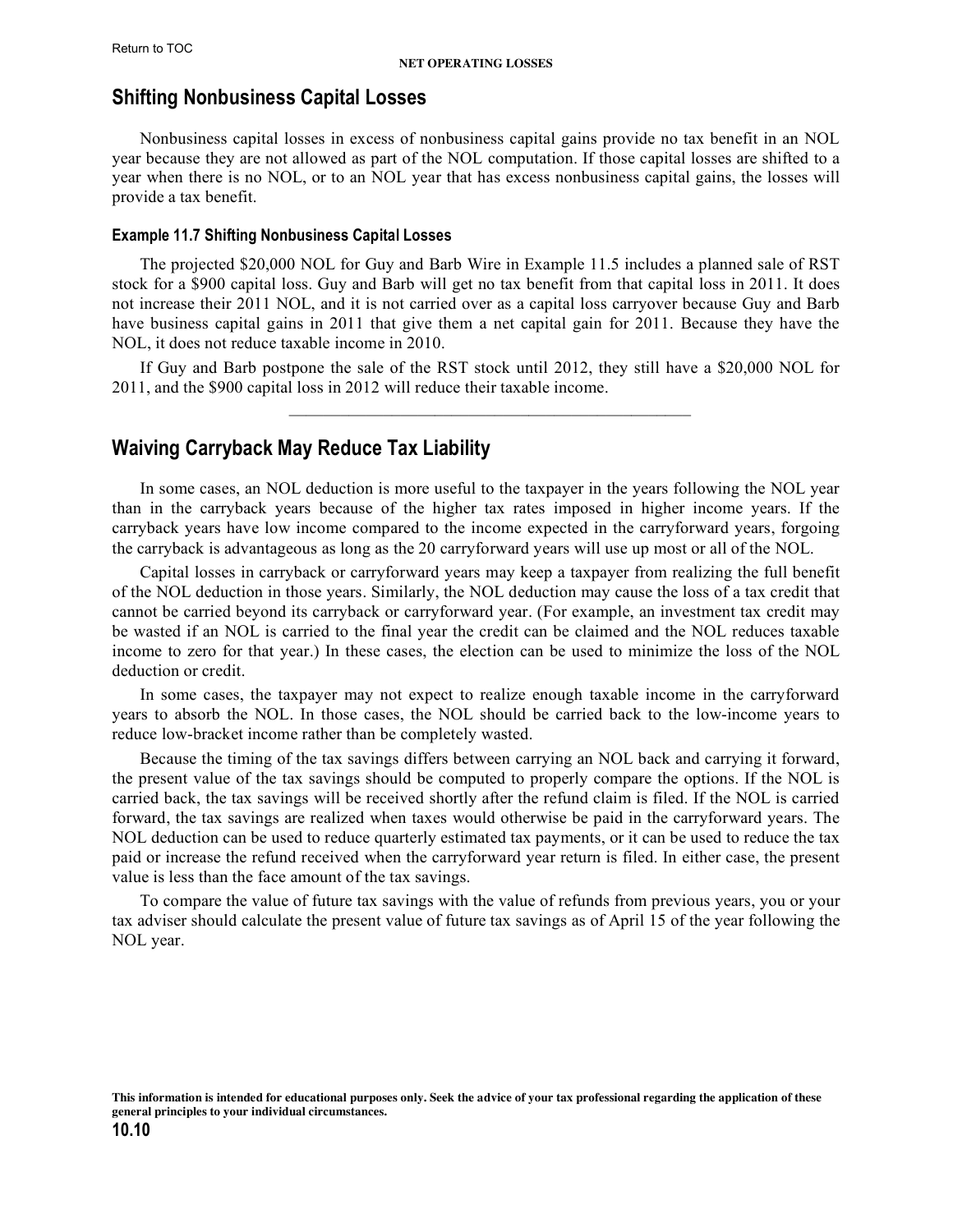# <span id="page-9-0"></span>**Shifting Nonbusiness Capital Losses**

Nonbusiness capital losses in excess of nonbusiness capital gains provide no tax benefit in an NOL year because they are not allowed as part of the NOL computation. If those capital losses are shifted to a year when there is no NOL, or to an NOL year that has excess nonbusiness capital gains, the losses will provide a tax benefit.

#### **Example 11.7 Shifting Nonbusiness Capital Losses**

The projected \$20,000 NOL for Guy and Barb Wire in Example 11.5 includes a planned sale of RST stock for a \$900 capital loss. Guy and Barb will get no tax benefit from that capital loss in 2011. It does not increase their 2011 NOL, and it is not carried over as a capital loss carryover because Guy and Barb have business capital gains in 2011 that give them a net capital gain for 2011. Because they have the NOL, it does not reduce taxable income in 2010.

If Guy and Barb postpone the sale of the RST stock until 2012, they still have a \$20,000 NOL for 2011, and the \$900 capital loss in 2012 will reduce their taxable income.

# **Waiving Carryback May Reduce Tax Liability**

In some cases, an NOL deduction is more useful to the taxpayer in the years following the NOL year than in the carryback years because of the higher tax rates imposed in higher income years. If the carryback years have low income compared to the income expected in the carryforward years, forgoing the carryback is advantageous as long as the 20 carryforward years will use up most or all of the NOL.

Capital losses in carryback or carryforward years may keep a taxpayer from realizing the full benefit of the NOL deduction in those years. Similarly, the NOL deduction may cause the loss of a tax credit that cannot be carried beyond its carryback or carryforward year. (For example, an investment tax credit may be wasted if an NOL is carried to the final year the credit can be claimed and the NOL reduces taxable income to zero for that year.) In these cases, the election can be used to minimize the loss of the NOL deduction or credit.

In some cases, the taxpayer may not expect to realize enough taxable income in the carryforward years to absorb the NOL. In those cases, the NOL should be carried back to the low-income years to reduce low-bracket income rather than be completely wasted.

Because the timing of the tax savings differs between carrying an NOL back and carrying it forward, the present value of the tax savings should be computed to properly compare the options. If the NOL is carried back, the tax savings will be received shortly after the refund claim is filed. If the NOL is carried forward, the tax savings are realized when taxes would otherwise be paid in the carryforward years. The NOL deduction can be used to reduce quarterly estimated tax payments, or it can be used to reduce the tax paid or increase the refund received when the carryforward year return is filed. In either case, the present value is less than the face amount of the tax savings.

To compare the value of future tax savings with the value of refunds from previous years, you or your tax adviser should calculate the present value of future tax savings as of April 15 of the year following the NOL year.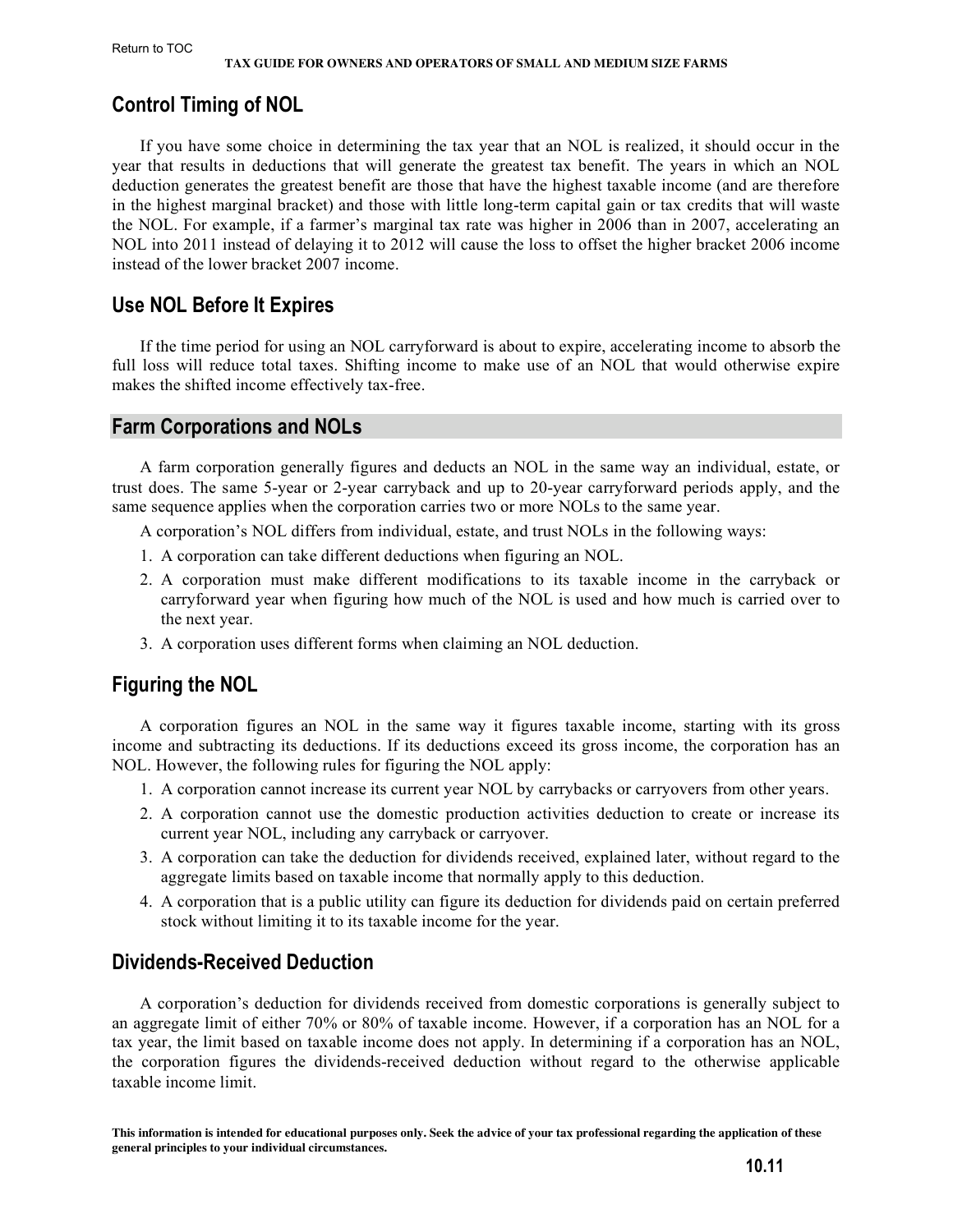# <span id="page-10-0"></span>**Control Timing of NOL**

If you have some choice in determining the tax year that an NOL is realized, it should occur in the year that results in deductions that will generate the greatest tax benefit. The years in which an NOL deduction generates the greatest benefit are those that have the highest taxable income (and are therefore in the highest marginal bracket) and those with little long-term capital gain or tax credits that will waste the NOL. For example, if a farmer's marginal tax rate was higher in 2006 than in 2007, accelerating an NOL into 2011 instead of delaying it to 2012 will cause the loss to offset the higher bracket 2006 income instead of the lower bracket 2007 income.

# **Use NOL Before It Expires**

If the time period for using an NOL carryforward is about to expire, accelerating income to absorb the full loss will reduce total taxes. Shifting income to make use of an NOL that would otherwise expire makes the shifted income effectively tax-free.

# **Farm Corporations and NOLs**

A farm corporation generally figures and deducts an NOL in the same way an individual, estate, or trust does. The same 5-year or 2-year carryback and up to 20-year carryforward periods apply, and the same sequence applies when the corporation carries two or more NOLs to the same year.

A corporation's NOL differs from individual, estate, and trust NOLs in the following ways:

- 1. A corporation can take different deductions when figuring an NOL.
- 2. A corporation must make different modifications to its taxable income in the carryback or carryforward year when figuring how much of the NOL is used and how much is carried over to the next year.
- 3. A corporation uses different forms when claiming an NOL deduction.

# **Figuring the NOL**

A corporation figures an NOL in the same way it figures taxable income, starting with its gross income and subtracting its deductions. If its deductions exceed its gross income, the corporation has an NOL. However, the following rules for figuring the NOL apply:

- 1. A corporation cannot increase its current year NOL by carrybacks or carryovers from other years.
- 2. A corporation cannot use the domestic production activities deduction to create or increase its current year NOL, including any carryback or carryover.
- 3. A corporation can take the deduction for dividends received, explained later, without regard to the aggregate limits based on taxable income that normally apply to this deduction.
- 4. A corporation that is a public utility can figure its deduction for dividends paid on certain preferred stock without limiting it to its taxable income for the year.

# **Dividends-Received Deduction**

A corporation's deduction for dividends received from domestic corporations is generally subject to an aggregate limit of either 70% or 80% of taxable income. However, if a corporation has an NOL for a tax year, the limit based on taxable income does not apply. In determining if a corporation has an NOL, the corporation figures the dividends-received deduction without regard to the otherwise applicable taxable income limit.